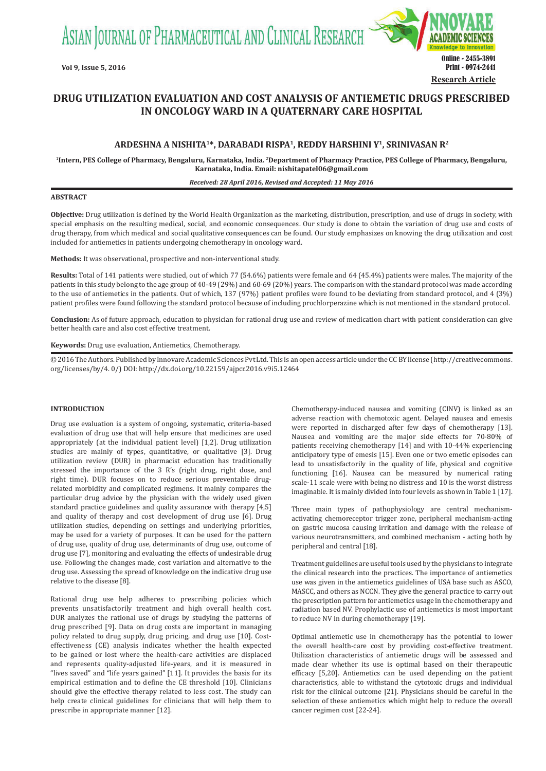ASIAN JOURNAL OF PHARMACEUTICAL AND CLINICAL RESEARCH



# **DRUG UTILIZATION EVALUATION AND COST ANALYSIS OF ANTIEMETIC DRUGS PRESCRIBED IN ONCOLOGY WARD IN A QUATERNARY CARE HOSPITAL**

# **ARDESHNA A NISHITA1\*, DARABADI RISPA1, REDDY HARSHINI Y1, SRINIVASAN R2**

1 **Intern, PES College of Pharmacy, Bengaluru, Karnataka, India.** <sup>2</sup> **Department of Pharmacy Practice, PES College of Pharmacy, Bengaluru, Karnataka, India. Email: nishitapatel06@gmail.com**

#### *Received: 28 April 2016, Revised and Accepted: 11 May 2016*

### **ABSTRACT**

**Objective:** Drug utilization is defined by the World Health Organization as the marketing, distribution, prescription, and use of drugs in society, with special emphasis on the resulting medical, social, and economic consequences. Our study is done to obtain the variation of drug use and costs of drug therapy, from which medical and social qualitative consequences can be found. Our study emphasizes on knowing the drug utilization and cost included for antiemetics in patients undergoing chemotherapy in oncology ward.

**Methods:** It was observational, prospective and non-interventional study.

**Results:** Total of 141 patients were studied, out of which 77 (54.6%) patients were female and 64 (45.4%) patients were males. The majority of the patients in this study belong to the age group of 40-49 (29%) and 60-69 (20%) years. The comparison with the standard protocol was made according to the use of antiemetics in the patients. Out of which, 137 (97%) patient profiles were found to be deviating from standard protocol, and 4 (3%) patient profiles were found following the standard protocol because of including prochlorperazine which is not mentioned in the standard protocol.

**Conclusion:** As of future approach, education to physician for rational drug use and review of medication chart with patient consideration can give better health care and also cost effective treatment.

**Keywords:** Drug use evaluation, Antiemetics, Chemotherapy.

© 2016 The Authors. Published by Innovare Academic Sciences Pvt Ltd. This is an open access article under the CC BY license (http://creativecommons. org/licenses/by/4. 0/) DOI: http://dx.doi.org/10.22159/ajpcr.2016.v9i5.12464

# **INTRODUCTION**

Drug use evaluation is a system of ongoing, systematic, criteria-based evaluation of drug use that will help ensure that medicines are used appropriately (at the individual patient level) [1,2]. Drug utilization studies are mainly of types, quantitative, or qualitative [3]. Drug utilization review (DUR) in pharmacist education has traditionally stressed the importance of the 3 R's (right drug, right dose, and right time). DUR focuses on to reduce serious preventable drugrelated morbidity and complicated regimens. It mainly compares the particular drug advice by the physician with the widely used given standard practice guidelines and quality assurance with therapy [4,5] and quality of therapy and cost development of drug use [6]. Drug utilization studies, depending on settings and underlying priorities, may be used for a variety of purposes. It can be used for the pattern of drug use, quality of drug use, determinants of drug use, outcome of drug use [7], monitoring and evaluating the effects of undesirable drug use. Following the changes made, cost variation and alternative to the drug use. Assessing the spread of knowledge on the indicative drug use relative to the disease [8].

Rational drug use help adheres to prescribing policies which prevents unsatisfactorily treatment and high overall health cost. DUR analyzes the rational use of drugs by studying the patterns of drug prescribed [9]. Data on drug costs are important in managing policy related to drug supply, drug pricing, and drug use [10]. Costeffectiveness (CE) analysis indicates whether the health expected to be gained or lost where the health-care activities are displaced and represents quality-adjusted life-years, and it is measured in "lives saved" and "life years gained" [11]. It provides the basis for its empirical estimation and to define the CE threshold [10]. Clinicians should give the effective therapy related to less cost. The study can help create clinical guidelines for clinicians that will help them to prescribe in appropriate manner [12].

Chemotherapy-induced nausea and vomiting (CINV) is linked as an adverse reaction with chemotoxic agent. Delayed nausea and emesis were reported in discharged after few days of chemotherapy [13]. Nausea and vomiting are the major side effects for 70-80% of patients receiving chemotherapy [14] and with 10-44% experiencing anticipatory type of emesis [15]. Even one or two emetic episodes can lead to unsatisfactorily in the quality of life, physical and cognitive functioning [16]. Nausea can be measured by numerical rating scale-11 scale were with being no distress and 10 is the worst distress imaginable. It is mainly divided into four levels as shown in Table 1 [17].

Three main types of pathophysiology are central mechanismactivating chemoreceptor trigger zone, peripheral mechanism-acting on gastric mucosa causing irritation and damage with the release of various neurotransmitters, and combined mechanism - acting both by peripheral and central [18].

Treatment guidelines are useful tools used by the physicians to integrate the clinical research into the practices. The importance of antiemetics use was given in the antiemetics guidelines of USA base such as ASCO, MASCC, and others as NCCN. They give the general practice to carry out the prescription pattern for antiemetics usage in the chemotherapy and radiation based NV. Prophylactic use of antiemetics is most important to reduce NV in during chemotherapy [19].

Optimal antiemetic use in chemotherapy has the potential to lower the overall health-care cost by providing cost-effective treatment. Utilization characteristics of antiemetic drugs will be assessed and made clear whether its use is optimal based on their therapeutic efficacy [5,20]. Antiemetics can be used depending on the patient characteristics, able to withstand the cytotoxic drugs and individual risk for the clinical outcome [21]. Physicians should be careful in the selection of these antiemetics which might help to reduce the overall cancer regimen cost [22-24].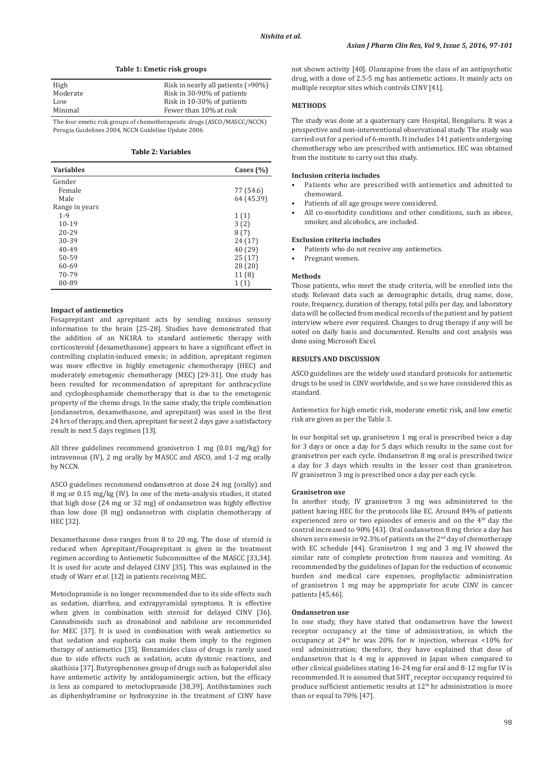|  |  | Table 1: Emetic risk groups |  |  |  |
|--|--|-----------------------------|--|--|--|
|--|--|-----------------------------|--|--|--|

| High     | Risk in nearly all patients (>90%) |
|----------|------------------------------------|
| Moderate | Risk in 30-90% of patients         |
| Low      | Risk in 10-30% of patients         |
| Minimal  | Fewer than 10% at risk             |

The four emetic risk groups of chemotherapeutic drugs (ASCO/MASCC/NCCN) Perugia Guidelines 2004, NCCN Guideline Update 2006

**Table 2: Variables**

| <b>Variables</b> | Cases $(\% )$ |
|------------------|---------------|
| Gender           |               |
| Female           | 77 (54.6)     |
| Male             | 64 (45.39)    |
| Range in years   |               |
| $1 - 9$          | 1(1)          |
| $10 - 19$        | 3(2)          |
| 20-29            | 8 (7)         |
| 30-39            | 24 (17)       |
| $40 - 49$        | 40 (29)       |
| 50-59            | 25(17)        |
| 60-69            | 28(20)        |
| 70-79            | 11(8)         |
| 80-89            | 1(1)          |

# **Impact of antiemetics**

Fosaprepitant and aprepitant acts by sending noxious sensory information to the brain [25-28]. Studies have demonstrated that the addition of an NK1RA to standard antiemetic therapy with corticosteroid (dexamethasone) appears to have a significant effect in controlling cisplatin-induced emesis; in addition, aprepitant regimen was more effective in highly emetogenic chemotherapy (HEC) and moderately emetogenic chemotherapy (MEC) [29-31]. One study has been resulted for recommendation of aprepitant for anthracycline and cyclophosphamide chemotherapy that is due to the emetogenic property of the chemo drugs. In the same study, the triple combination (ondansetron, dexamethasone, and aprepitant) was used in the first 24 hrs of therapy, and then, aprepitant for next 2 days gave a satisfactory result in next 5 days regimen [13].

All three guidelines recommend granisetron 1 mg (0.01 mg/kg) for intravenous (IV), 2 mg orally by MASCC and ASCO, and 1-2 mg orally by NCCN.

ASCO guidelines recommend ondansetron at dose 24 mg (orally) and 8 mg or 0.15 mg/kg (IV). In one of the meta-analysis studies, it stated that high dose (24 mg or 32 mg) of ondansetron was highly effective than low dose (8 mg) ondansetron with cisplatin chemotherapy of HEC [32].

Dexamethasone dose ranges from 8 to 20 mg. The dose of steroid is reduced when Aprepitant/Fosaprepitant is given in the treatment regimen according to Antiemetic Subcommittee of the MASCC [33,34]. It is used for acute and delayed CINV [35]. This was explained in the study of Warr *et al*. [12] in patients receiving MEC.

Metoclopramide is no longer recommended due to its side effects such as sedation, diarrhea, and extrapyramidal symptoms. It is effective when given in combination with steroid for delayed CINV [36]. Cannabinoids such as dronabinol and nabilone are recommended for MEC [37]. It is used in combination with weak antiemetics so that sedation and euphoria can make them imply to the regimen therapy of antiemetics [35]. Benzamides class of drugs is rarely used due to side effects such as sedation, acute dystonic reactions, and akathisia [37]. Butyrophenones group of drugs such as haloperidol also have antiemetic activity by antidopaminergic action, but the efficacy is less as compared to metoclopramide [38,39]. Antihistamines such as diphenhydramine or hydroxyzine in the treatment of CINV have not shown activity [40]. Olanzapine from the class of an antipsychotic drug, with a dose of 2.5-5 mg has antiemetic actions. It mainly acts on multiple receptor sites which controls CINV [41].

# **METHODS**

The study was done at a quaternary care Hospital, Bengaluru. It was a prospective and non-interventional observational study. The study was carried out for a period of 6-month. It includes 141 patients undergoing chemotherapy who are prescribed with antiemetics. IEC was obtained from the institute to carry out this study.

# **Inclusion criteria includes**

- Patients who are prescribed with antiemetics and admitted to chemoward.
- Patients of all age groups were considered.
- All co-morbidity conditions and other conditions, such as obese, smoker, and alcoholics, are included.

# **Exclusion criteria includes**

- Patients who do not receive any antiemetics.
- Pregnant women.

### **Methods**

Those patients, who meet the study criteria, will be enrolled into the study. Relevant data such as demographic details, drug name, dose, route, frequency, duration of therapy, total pills per day, and laboratory data will be collected from medical records of the patient and by patient interview where ever required. Changes to drug therapy if any will be noted on daily basis and documented. Results and cost analysis was done using Microsoft Excel.

# **RESULTS AND DISCUSSION**

ASCO guidelines are the widely used standard protocols for antiemetic drugs to be used in CINV worldwide, and so we have considered this as standard.

Antiemetics for high emetic risk, moderate emetic risk, and low emetic risk are given as per the Table 3.

In our hospital set up, granisetron 1 mg oral is prescribed twice a day for 3 days or once a day for 5 days which results in the same cost for granisetron per each cycle. Ondansetron 8 mg oral is prescribed twice a day for 3 days which results in the lesser cost than granisetron. IV granisetron 3 mg is prescribed once a day per each cycle.

#### **Granisetron use**

In another study, IV granisetron 3 mg was administered to the patient having HEC for the protocols like EC. Around 84% of patients experienced zero or two episodes of emesis and on the 4<sup>th</sup> day the control increased to 90% [43]. Oral ondansetron 8 mg thrice a day has shown zero emesis in 92.3% of patients on the 2<sup>nd</sup> day of chemotherapy with EC schedule [44]. Granisetron 1 mg and 3 mg IV showed the similar rate of complete protection from nausea and vomiting. As recommended by the guidelines of Japan for the reduction of economic burden and medical care expenses, prophylactic administration of granisetron 1 mg may be appropriate for acute CINV in cancer patients [45,46].

#### **Ondansetron use**

In one study, they have stated that ondansetron have the lowest receptor occupancy at the time of administration, in which the occupancy at  $24<sup>th</sup>$  hr was 20% for iv injection, whereas <10% for oral administration; therefore, they have explained that dose of ondansetron that is 4 mg is approved in Japan when compared to other clinical guidelines stating 16-24 mg for oral and 8-12 mg for IV is recommended. It is assumed that  $\rm 5HT_{3}$  receptor occupancy required to produce sufficient antiemetic results at 12<sup>th</sup> hr administration is more than or equal to 70% [47].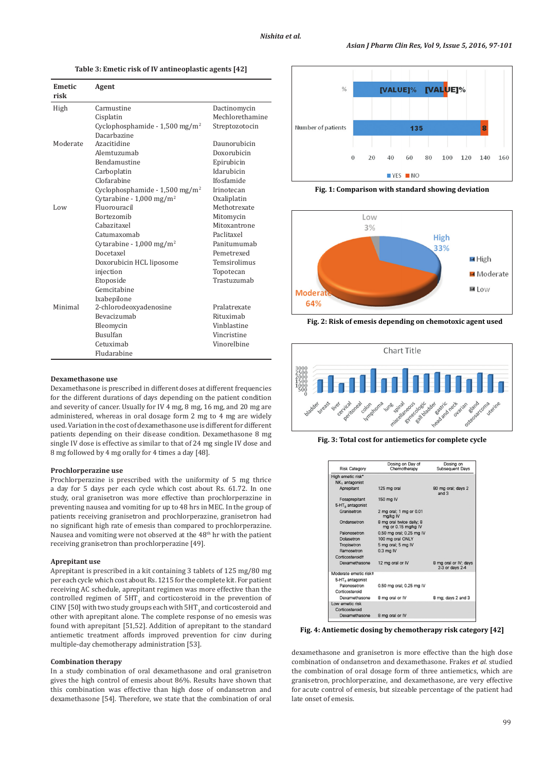**Table 3: Emetic risk of IV antineoplastic agents [42]**

| <b>Emetic</b><br>risk | Agent                                        |                 |
|-----------------------|----------------------------------------------|-----------------|
| High                  | Carmustine                                   | Dactinomycin    |
|                       | Cisplatin                                    | Mechlorethamine |
|                       | Cyclophosphamide - $1,500$ mg/m <sup>2</sup> | Streptozotocin  |
|                       | Dacarbazine                                  |                 |
| Moderate              | Azacitidine                                  | Daunorubicin    |
|                       | Alemtuzumab                                  | Doxorubicin     |
|                       | <b>Bendamustine</b>                          | Epirubicin      |
|                       | Carboplatin                                  | Idarubicin      |
|                       | Clofarabine                                  | Ifosfamide      |
|                       | Cyclophosphamide - 1,500 mg/m <sup>2</sup>   | Irinotecan      |
|                       | Cytarabine - $1,000 \text{ mg/m}^2$          | Oxaliplatin     |
| Low                   | Fluorouracil                                 | Methotrexate    |
|                       | <b>Bortezomib</b>                            | Mitomycin       |
|                       | Cahazitaxel                                  | Mitoxantrone    |
|                       | Catumaxomab                                  | Paclitaxel      |
|                       | Cytarabine - $1,000$ mg/m <sup>2</sup>       | Panitumumah     |
|                       | Docetaxel                                    | Pemetrexed      |
|                       | Doxorubicin HCL liposome                     | Temsirolimus    |
|                       | injection                                    | Topotecan       |
|                       | Etoposide                                    | Trastuzumah     |
|                       | Gemcitabine                                  |                 |
|                       | Ixabepilone                                  |                 |
| Minimal               | 2-chlorodeoxyadenosine                       | Pralatrexate    |
|                       | <b>Bevacizumah</b>                           | Rituximah       |
|                       | Bleomycin                                    | Vinblastine     |
|                       | <b>Busulfan</b>                              | Vincristine     |
|                       | Cetuximab                                    | Vinorelbine     |
|                       | Fludarabine                                  |                 |

#### **Dexamethasone use**

Dexamethasone is prescribed in different doses at different frequencies for the different durations of days depending on the patient condition and severity of cancer. Usually for IV 4 mg, 8 mg, 16 mg, and 20 mg are administered, whereas in oral dosage form 2 mg to 4 mg are widely used. Variation in the cost of dexamethasone use is different for different patients depending on their disease condition. Dexamethasone 8 mg single IV dose is effective as similar to that of 24 mg single IV dose and 8 mg followed by 4 mg orally for 4 times a day [48].

### **Prochlorperazine use**

Prochlorperazine is prescribed with the uniformity of 5 mg thrice a day for 5 days per each cycle which cost about Rs. 61.72. In one study, oral granisetron was more effective than prochlorperazine in preventing nausea and vomiting for up to 48 hrs in MEC. In the group of patients receiving granisetron and prochlorperazine, granisetron had no significant high rate of emesis than compared to prochlorperazine. Nausea and vomiting were not observed at the 48th hr with the patient receiving granisetron than prochlorperazine [49].

#### **Aprepitant use**

Aprepitant is prescribed in a kit containing 3 tablets of 125 mg/80 mg per each cycle which cost about Rs. 1215 for the complete kit. For patient receiving AC schedule, aprepitant regimen was more effective than the controlled regimen of  $5HT_{\overline{3}}$  and corticosteroid in the prevention of CINV [50] with two study groups each with  $5HT_{3}$  and corticosteroid and other with aprepitant alone. The complete response of no emesis was found with aprepitant [51,52]. Addition of aprepitant to the standard antiemetic treatment affords improved prevention for cinv during multiple-day chemotherapy administration [53].

#### **Combination therapy**

In a study combination of oral dexamethasone and oral granisetron gives the high control of emesis about 86%. Results have shown that this combination was effective than high dose of ondansetron and dexamethasone [54]. Therefore, we state that the combination of oral



**Fig. 1: Comparison with standard showing deviation**



**Fig. 2: Risk of emesis depending on chemotoxic agent used**



**Fig. 3: Total cost for antiemetics for complete cycle**

| <b>Risk Category</b>         | Dosing on Day of<br>Chemotherapy                | Dosing on<br>Subsequent Days             |
|------------------------------|-------------------------------------------------|------------------------------------------|
| High emetic risk*            |                                                 |                                          |
| NK <sub>1</sub> antagonist   |                                                 |                                          |
| Aprepitant                   | 125 mg oral                                     | 80 mg oral; days 2<br>and $3$            |
| Fosaprepitant                | 150 mg IV                                       |                                          |
| 5-HT <sub>2</sub> antagonist |                                                 |                                          |
| Granisetron                  | 2 mg oral; 1 mg or 0.01<br>ma/ka IV             |                                          |
| Ondansetron                  | 8 mg oral twice daily; 8<br>mg or 0.15 mg/kg IV |                                          |
| Palonosetron                 | 0.50 mg oral; 0.25 mg IV                        |                                          |
| Dolasetron                   | 100 mg oral ONLY                                |                                          |
| Tropisetron                  | 5 mg oral; 5 mg IV                              |                                          |
| Ramosetron                   | $0.3$ ma IV                                     |                                          |
| Corticosteroidt              |                                                 |                                          |
| Dexamethasone                | 12 mg oral or IV                                | 8 mg oral or IV; days<br>2-3 or days 2-4 |
| Moderate emetic risk‡        |                                                 |                                          |
| 5-HT <sub>2</sub> antagonist |                                                 |                                          |
| Palonosatron                 | 0.50 mg oral; 0.25 mg IV                        |                                          |
| Corticosteroid               |                                                 |                                          |
| Dexamethasone                | 8 mg oral or IV                                 | 8 mg; days 2 and 3                       |
| Low emetic risk              |                                                 |                                          |
| Corticosteroid               |                                                 |                                          |
| Dexamethasone                | 8 mg oral or IV                                 |                                          |

**Fig. 4: Antiemetic dosing by chemotherapy risk category [42]**

dexamethasone and granisetron is more effective than the high dose combination of ondansetron and dexamethasone. Frakes *et al*. studied the combination of oral dosage form of three antiemetics, which are granisetron, prochlorperazine, and dexamethasone, are very effective for acute control of emesis, but sizeable percentage of the patient had late onset of emesis.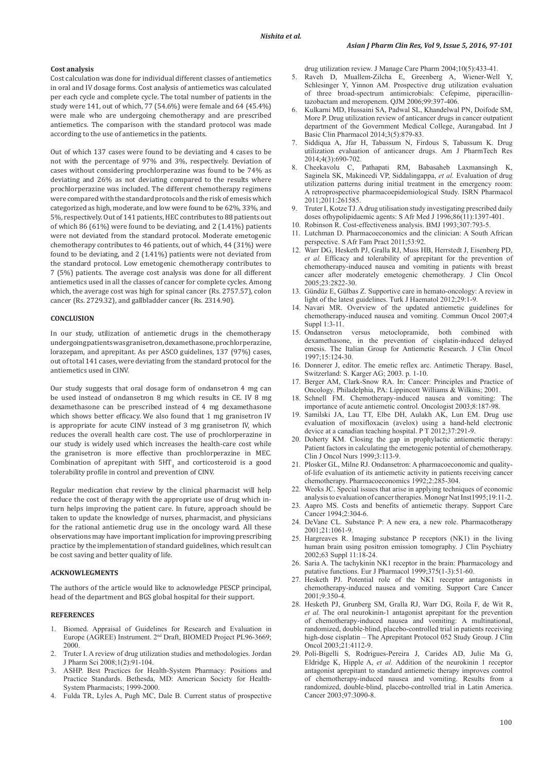## **Cost analysis**

Cost calculation was done for individual different classes of antiemetics in oral and IV dosage forms. Cost analysis of antiemetics was calculated per each cycle and complete cycle. The total number of patients in the study were 141, out of which,  $77$  (54.6%) were female and 64 (45.4%) were male who are undergoing chemotherapy and are prescribed antiemetics. The comparison with the standard protocol was made according to the use of antiemetics in the patients.

Out of which 137 cases were found to be deviating and 4 cases to be not with the percentage of 97% and 3%, respectively. Deviation of cases without considering prochlorperazine was found to be 74% as deviating and 26% as not deviating compared to the results where prochlorperazine was included. The different chemotherapy regimens were compared with the standard protocols and the risk of emesis which categorized as high, moderate, and low were found to be 62%, 33%, and 5%, respectively. Out of 141 patients, HEC contributes to 88 patients out of which 86 (61%) were found to be deviating, and 2 (1.41%) patients were not deviated from the standard protocol. Moderate emetogenic chemotherapy contributes to 46 patients, out of which, 44 (31%) were found to be deviating, and 2 (1.41%) patients were not deviated from the standard protocol. Low emetogenic chemotherapy contributes to 7 (5%) patients. The average cost analysis was done for all different antiemetics used in all the classes of cancer for complete cycles. Among which, the average cost was high for spinal cancer (Rs. 2757.57), colon cancer (Rs. 2729.32), and gallbladder cancer (Rs. 2314.90).

# **CONCLUSION**

In our study, utilization of antiemetic drugs in the chemotherapy undergoing patients was granisetron, dexamethasone, prochlorperazine, lorazepam, and aprepitant. As per ASCO guidelines, 137 (97%) cases, out of total 141 cases, were deviating from the standard protocol for the antiemetics used in CINV.

Our study suggests that oral dosage form of ondansetron 4 mg can be used instead of ondansetron 8 mg which results in CE. IV 8 mg dexamethasone can be prescribed instead of 4 mg dexamethasone which shows better efficacy. We also found that 1 mg granisetron IV is appropriate for acute CINV instead of 3 mg granisetron IV, which reduces the overall health care cost. The use of prochlorperazine in our study is widely used which increases the health-care cost while the granisetron is more effective than prochlorperazine in MEC. Combination of aprepitant with  $5HT_{3}$  and corticosteroid is a good tolerability profile in control and prevention of CINV.

Regular medication chat review by the clinical pharmacist will help reduce the cost of therapy with the appropriate use of drug which inturn helps improving the patient care. In future, approach should be taken to update the knowledge of nurses, pharmacist, and physicians for the rational antiemetic drug use in the oncology ward. All these observations may have important implication for improving prescribing practice by the implementation of standard guidelines, which result can be cost saving and better quality of life.

### **ACKNOWLEGMENTS**

The authors of the article would like to acknowledge PESCP principal, head of the department and BGS global hospital for their support.

# **REFERENCES**

- 1. Biomed. Appraisal of Guidelines for Research and Evaluation in Europe (AGREE) Instrument. 2<sup>nd</sup> Draft, BIOMED Project PL96-3669; 2000.
- 2. Truter I. A review of drug utilization studies and methodologies. Jordan J Pharm Sci 2008;1(2):91-104.
- 3. ASHP. Best Practices for Health-System Pharmacy: Positions and Practice Standards. Bethesda, MD: American Society for Health-System Pharmacists; 1999-2000.
- 4. Fulda TR, Lyles A, Pugh MC, Dale B. Current status of prospective

drug utilization review. J Manage Care Pharm 2004;10(5):433-41.

- 5. Raveh D, Muallem-Zilcha E, Greenberg A, Wiener-Well Y, Schlesinger Y, Yinnon AM. Prospective drug utilization evaluation of three broad-spectrum antimicrobials: Cefepime, piperacillintazobactam and meropenem. QJM 2006;99:397-406.
- 6. Kulkarni MD, Hussaini SA, Padwal SL, Khandelwal PN, Doifode SM, More P. Drug utilization review of anticancer drugs in cancer outpatient department of the Government Medical College, Aurangabad. Int J Basic Clin Pharmacol 2014;3(5):879-83.
- 7. Siddiqua A, Jfar H, Tabassum N, Firdous S, Tabassum K. Drug utilization evaluation of anticancer drugs. Am J PharmTech Res 2014;4(3):690-702.
- 8. Cheekavolu C, Pathapati RM, Babasaheb Laxmansingh K, Saginela SK, Makineedi VP, Siddalingappa, *et al.* Evaluation of drug utilization patterns during initial treatment in the emergency room: A retroprospective pharmacoepidemiological Study. ISRN Pharmacol 2011;2011:261585.
- 9. Truter I, Kotze TJ. Adrug utilisation study investigating prescribed daily doses ofhypolipidaemic agents: S Afr Med J 1996;86(11):1397-401.
- 10. Robinson R. Cost-effectiveness analysis. BMJ 1993;307:793-5.
- 11. Lutchman D. Pharmacoeconomics and the clinician: A South African perspective. S Afr Fam Pract 2011;53:92.
- 12. Warr DG, Hesketh PJ, Gralla RJ, Muss HB, Herrstedt J, Eisenberg PD, *et al.* Efficacy and tolerability of aprepitant for the prevention of chemotherapy-induced nausea and vomiting in patients with breast cancer after moderately emetogenic chemotherapy. J Clin Oncol 2005;23:2822-30.
- 13. Gündüz E, Gülbas Z. Supportive care in hemato-oncology: A review in light of the latest guidelines. Turk J Haematol 2012;29:1-9.
- Navari MR. Overview of the updated antiemetic guidelines for chemotherapy-induced nausea and vomiting. Commun Oncol 2007;4 Suppl 1:3-11.
- 15. Ondansetron versus metoclopramide, both combined with dexamethasone, in the prevention of cisplatin-induced delayed emesis. The Italian Group for Antiemetic Research. J Clin Oncol 1997;15:124-30.
- 16. Donnerer J, editor. The emetic reflex arc. Antimetic Therapy. Basel, Switzerland: S. Karger AG; 2003. p. 1-10.
- 17. Berger AM, Clark-Snow RA. In: Cancer: Principles and Practice of Oncology. Philadelphia, PA: Lippincott Williams & Wilkins; 2001.
- 18. Schnell FM. Chemotherapy-induced nausea and vomiting: The importance of acute antiemetic control. Oncologist 2003;8:187-98.
- 19. Samilski JA, Lau TT, Elbe DH, Aulakh AK, Lun EM. Drug use evaluation of moxifloxacin (avelox) using a hand-held electronic device at a canadian teaching hospital. P T 2012;37:291-9.
- 20. Doherty KM. Closing the gap in prophylactic antiemetic therapy: Patient factors in calculating the emetogenic potential of chemotherapy. Clin J Oncol Nurs 1999;3:113-9.
- 21. Plosker GL, Milne RJ. Ondansetron: A pharmacoeconomic and qualityof-life evaluation of its antiemetic activity in patients receiving cancer chemotherapy. Pharmacoeconomics 1992;2:285-304.
- 22. Weeks JC. Special issues that arise in applying techniques of economic analysis to evaluation of cancer therapies. Monogr Nat Inst1995;19:11-2.
- 23. Aapro MS. Costs and benefits of antiemetic therapy. Support Care Cancer 1994;2:304-6.
- 24. DeVane CL. Substance P: A new era, a new role. Pharmacotherapy  $2001:21:1061-9$
- 25. Hargreaves R. Imaging substance P receptors (NK1) in the living human brain using positron emission tomography. J Clin Psychiatry 2002;63 Suppl 11:18-24.
- 26. Saria A. The tachykinin NK1 receptor in the brain: Pharmacology and putative functions. Eur J Pharmacol 1999;375(1-3):51-60.
- 27. Hesketh PJ. Potential role of the NK1 receptor antagonists in chemotherapy-induced nausea and vomiting. Support Care Cancer 2001;9:350-4.
- 28. Hesketh PJ, Grunberg SM, Gralla RJ, Warr DG, Roila F, de Wit R, *et al.* The oral neurokinin-1 antagonist aprepitant for the prevention of chemotherapy-induced nausea and vomiting: A multinational, randomized, double-blind, placebo-controlled trial in patients receiving high-dose cisplatin – The Aprepitant Protocol 052 Study Group. J Clin Oncol 2003;21:4112-9.
- 29. Poli-Bigelli S, Rodrigues-Pereira J, Carides AD, Julie Ma G, Eldridge K, Hipple A, *et al.* Addition of the neurokinin 1 receptor antagonist aprepitant to standard antiemetic therapy improves control of chemotherapy-induced nausea and vomiting. Results from a randomized, double-blind, placebo-controlled trial in Latin America. Cancer 2003;97:3090-8.